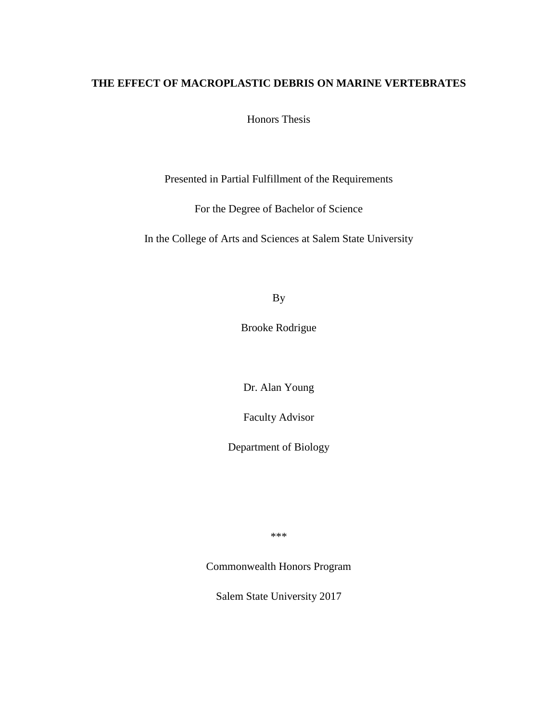# **THE EFFECT OF MACROPLASTIC DEBRIS ON MARINE VERTEBRATES**

Honors Thesis

Presented in Partial Fulfillment of the Requirements

For the Degree of Bachelor of Science

In the College of Arts and Sciences at Salem State University

By

Brooke Rodrigue

Dr. Alan Young

Faculty Advisor

Department of Biology

\*\*\*

Commonwealth Honors Program

Salem State University 2017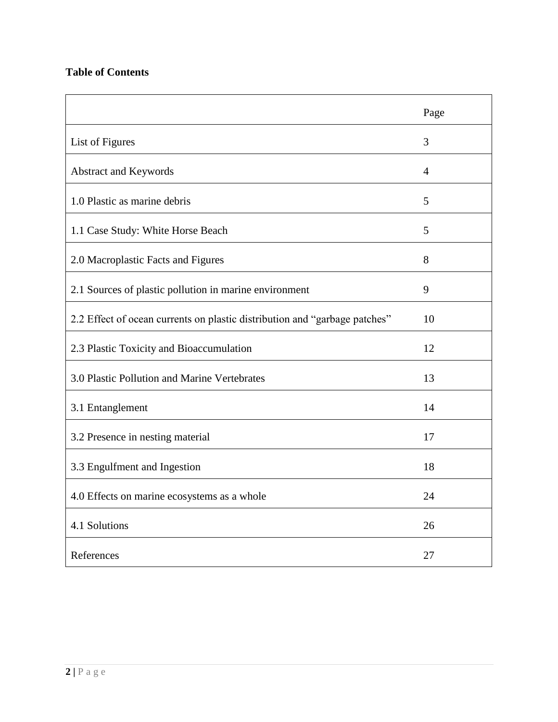# **Table of Contents**

|                                                                            | Page           |
|----------------------------------------------------------------------------|----------------|
| List of Figures                                                            | 3              |
| Abstract and Keywords                                                      | $\overline{4}$ |
| 1.0 Plastic as marine debris                                               | 5              |
| 1.1 Case Study: White Horse Beach                                          | 5              |
| 2.0 Macroplastic Facts and Figures                                         | 8              |
| 2.1 Sources of plastic pollution in marine environment                     | 9              |
| 2.2 Effect of ocean currents on plastic distribution and "garbage patches" | 10             |
| 2.3 Plastic Toxicity and Bioaccumulation                                   | 12             |
| 3.0 Plastic Pollution and Marine Vertebrates                               | 13             |
| 3.1 Entanglement                                                           | 14             |
| 3.2 Presence in nesting material                                           | 17             |
| 3.3 Engulfment and Ingestion                                               | 18             |
| 4.0 Effects on marine ecosystems as a whole                                | 24             |
| 4.1 Solutions                                                              | 26             |
| References                                                                 | 27             |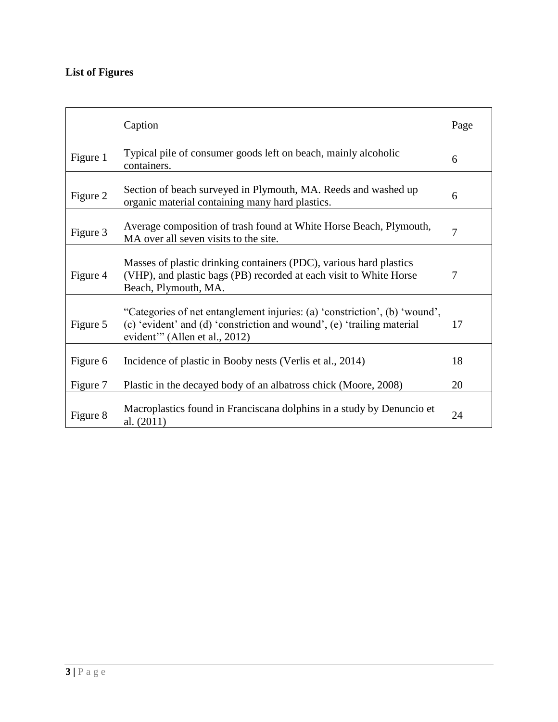# **List of Figures**

|          | Caption                                                                                                                                                                               | Page |
|----------|---------------------------------------------------------------------------------------------------------------------------------------------------------------------------------------|------|
| Figure 1 | Typical pile of consumer goods left on beach, mainly alcoholic<br>containers.                                                                                                         | 6    |
| Figure 2 | Section of beach surveyed in Plymouth, MA. Reeds and washed up<br>organic material containing many hard plastics.                                                                     | 6    |
| Figure 3 | Average composition of trash found at White Horse Beach, Plymouth,<br>MA over all seven visits to the site.                                                                           | 7    |
| Figure 4 | Masses of plastic drinking containers (PDC), various hard plastics<br>(VHP), and plastic bags (PB) recorded at each visit to White Horse<br>Beach, Plymouth, MA.                      | 7    |
| Figure 5 | "Categories of net entanglement injuries: (a) 'constriction', (b) 'wound',<br>(c) 'evident' and (d) 'constriction and wound', (e) 'trailing material<br>evident" (Allen et al., 2012) | 17   |
| Figure 6 | Incidence of plastic in Booby nests (Verlis et al., 2014)                                                                                                                             | 18   |
| Figure 7 | Plastic in the decayed body of an albatross chick (Moore, 2008)                                                                                                                       | 20   |
| Figure 8 | Macroplastics found in Franciscana dolphins in a study by Denuncio et<br>al. (2011)                                                                                                   | 24   |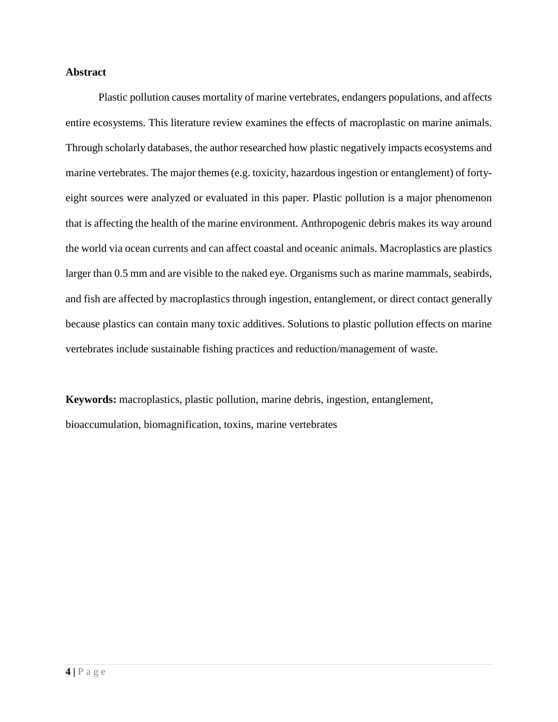### **Abstract**

Plastic pollution causes mortality of marine vertebrates, endangers populations, and affects entire ecosystems. This literature review examines the effects of macroplastic on marine animals. Through scholarly databases, the author researched how plastic negatively impacts ecosystems and marine vertebrates. The major themes (e.g. toxicity, hazardous ingestion or entanglement) of fortyeight sources were analyzed or evaluated in this paper. Plastic pollution is a major phenomenon that is affecting the health of the marine environment. Anthropogenic debris makes its way around the world via ocean currents and can affect coastal and oceanic animals. Macroplastics are plastics larger than 0.5 mm and are visible to the naked eye. Organisms such as marine mammals, seabirds, and fish are affected by macroplastics through ingestion, entanglement, or direct contact generally because plastics can contain many toxic additives. Solutions to plastic pollution effects on marine vertebrates include sustainable fishing practices and reduction/management of waste.

**Keywords:** macroplastics, plastic pollution, marine debris, ingestion, entanglement, bioaccumulation, biomagnification, toxins, marine vertebrates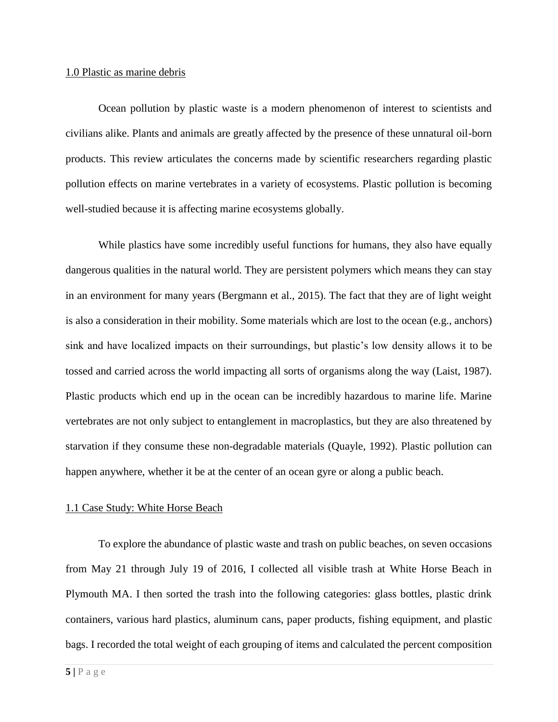#### 1.0 Plastic as marine debris

Ocean pollution by plastic waste is a modern phenomenon of interest to scientists and civilians alike. Plants and animals are greatly affected by the presence of these unnatural oil-born products. This review articulates the concerns made by scientific researchers regarding plastic pollution effects on marine vertebrates in a variety of ecosystems. Plastic pollution is becoming well-studied because it is affecting marine ecosystems globally.

While plastics have some incredibly useful functions for humans, they also have equally dangerous qualities in the natural world. They are persistent polymers which means they can stay in an environment for many years (Bergmann et al., 2015). The fact that they are of light weight is also a consideration in their mobility. Some materials which are lost to the ocean (e.g., anchors) sink and have localized impacts on their surroundings, but plastic's low density allows it to be tossed and carried across the world impacting all sorts of organisms along the way (Laist, 1987). Plastic products which end up in the ocean can be incredibly hazardous to marine life. Marine vertebrates are not only subject to entanglement in macroplastics, but they are also threatened by starvation if they consume these non-degradable materials (Quayle, 1992). Plastic pollution can happen anywhere, whether it be at the center of an ocean gyre or along a public beach.

#### 1.1 Case Study: White Horse Beach

To explore the abundance of plastic waste and trash on public beaches, on seven occasions from May 21 through July 19 of 2016, I collected all visible trash at White Horse Beach in Plymouth MA. I then sorted the trash into the following categories: glass bottles, plastic drink containers, various hard plastics, aluminum cans, paper products, fishing equipment, and plastic bags. I recorded the total weight of each grouping of items and calculated the percent composition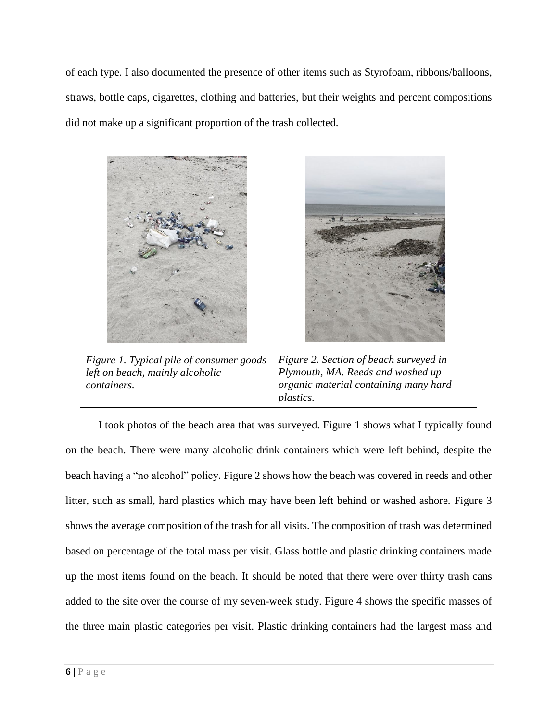of each type. I also documented the presence of other items such as Styrofoam, ribbons/balloons, straws, bottle caps, cigarettes, clothing and batteries, but their weights and percent compositions did not make up a significant proportion of the trash collected.



*Figure 1. Typical pile of consumer goods left on beach, mainly alcoholic containers.*



*Figure 2. Section of beach surveyed in Plymouth, MA. Reeds and washed up organic material containing many hard plastics.* 

I took photos of the beach area that was surveyed. Figure 1 shows what I typically found on the beach. There were many alcoholic drink containers which were left behind, despite the beach having a "no alcohol" policy. Figure 2 shows how the beach was covered in reeds and other litter, such as small, hard plastics which may have been left behind or washed ashore. Figure 3 shows the average composition of the trash for all visits. The composition of trash was determined based on percentage of the total mass per visit. Glass bottle and plastic drinking containers made up the most items found on the beach. It should be noted that there were over thirty trash cans added to the site over the course of my seven-week study. Figure 4 shows the specific masses of the three main plastic categories per visit. Plastic drinking containers had the largest mass and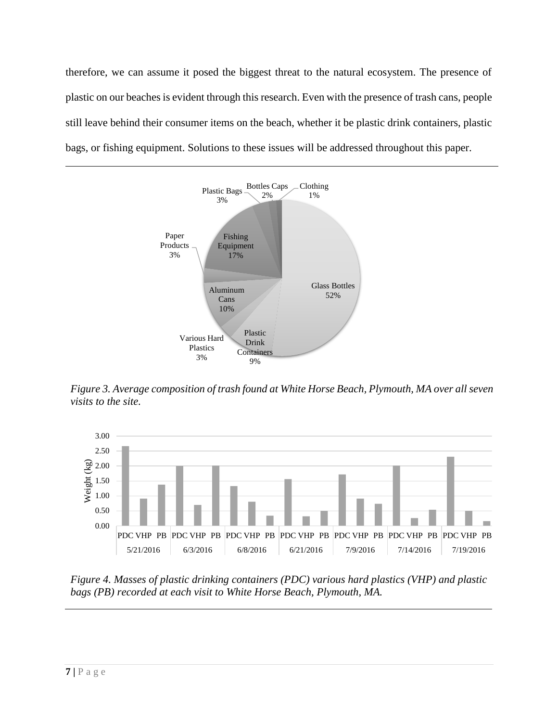therefore, we can assume it posed the biggest threat to the natural ecosystem. The presence of plastic on our beaches is evident through this research. Even with the presence of trash cans, people still leave behind their consumer items on the beach, whether it be plastic drink containers, plastic bags, or fishing equipment. Solutions to these issues will be addressed throughout this paper.



*Figure 3. Average composition of trash found at White Horse Beach, Plymouth, MA over all seven visits to the site.*



*Figure 4. Masses of plastic drinking containers (PDC) various hard plastics (VHP) and plastic bags (PB) recorded at each visit to White Horse Beach, Plymouth, MA.*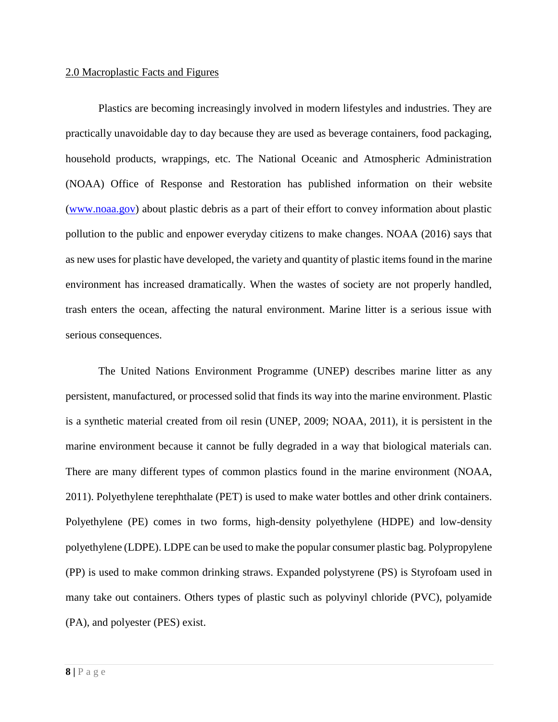#### 2.0 Macroplastic Facts and Figures

Plastics are becoming increasingly involved in modern lifestyles and industries. They are practically unavoidable day to day because they are used as beverage containers, food packaging, household products, wrappings, etc. The National Oceanic and Atmospheric Administration (NOAA) Office of Response and Restoration has published information on their website [\(www.noaa.gov\)](http://www.noaa.gov/) about plastic debris as a part of their effort to convey information about plastic pollution to the public and enpower everyday citizens to make changes. NOAA (2016) says that as new uses for plastic have developed, the variety and quantity of plastic items found in the marine environment has increased dramatically. When the wastes of society are not properly handled, trash enters the ocean, affecting the natural environment. Marine litter is a serious issue with serious consequences.

The United Nations Environment Programme (UNEP) describes marine litter as any persistent, manufactured, or processed solid that finds its way into the marine environment. Plastic is a synthetic material created from oil resin (UNEP, 2009; NOAA, 2011), it is persistent in the marine environment because it cannot be fully degraded in a way that biological materials can. There are many different types of common plastics found in the marine environment (NOAA, 2011). Polyethylene terephthalate (PET) is used to make water bottles and other drink containers. Polyethylene (PE) comes in two forms, high-density polyethylene (HDPE) and low-density polyethylene (LDPE). LDPE can be used to make the popular consumer plastic bag. Polypropylene (PP) is used to make common drinking straws. Expanded polystyrene (PS) is Styrofoam used in many take out containers. Others types of plastic such as polyvinyl chloride (PVC), polyamide (PA), and polyester (PES) exist.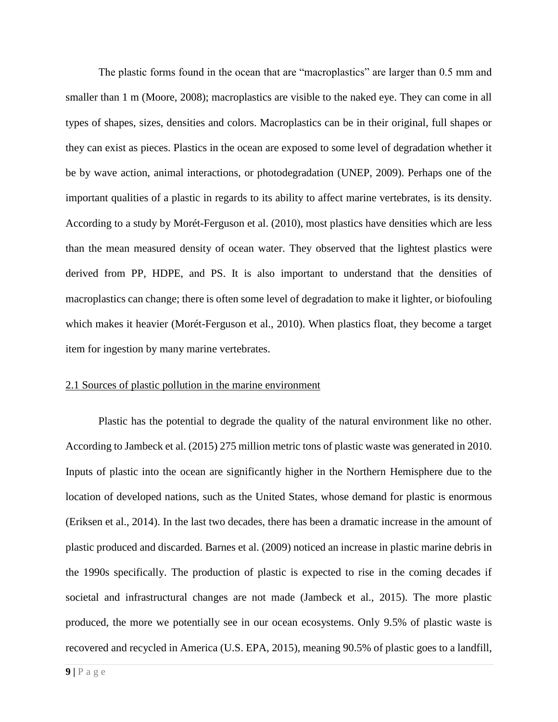The plastic forms found in the ocean that are "macroplastics" are larger than 0.5 mm and smaller than 1 m (Moore, 2008); macroplastics are visible to the naked eye. They can come in all types of shapes, sizes, densities and colors. Macroplastics can be in their original, full shapes or they can exist as pieces. Plastics in the ocean are exposed to some level of degradation whether it be by wave action, animal interactions, or photodegradation (UNEP, 2009). Perhaps one of the important qualities of a plastic in regards to its ability to affect marine vertebrates, is its density. According to a study by Morét-Ferguson et al. (2010), most plastics have densities which are less than the mean measured density of ocean water. They observed that the lightest plastics were derived from PP, HDPE, and PS. It is also important to understand that the densities of macroplastics can change; there is often some level of degradation to make it lighter, or biofouling which makes it heavier (Morét-Ferguson et al., 2010). When plastics float, they become a target item for ingestion by many marine vertebrates.

# 2.1 Sources of plastic pollution in the marine environment

Plastic has the potential to degrade the quality of the natural environment like no other. According to Jambeck et al. (2015) 275 million metric tons of plastic waste was generated in 2010. Inputs of plastic into the ocean are significantly higher in the Northern Hemisphere due to the location of developed nations, such as the United States, whose demand for plastic is enormous (Eriksen et al., 2014). In the last two decades, there has been a dramatic increase in the amount of plastic produced and discarded. Barnes et al. (2009) noticed an increase in plastic marine debris in the 1990s specifically. The production of plastic is expected to rise in the coming decades if societal and infrastructural changes are not made (Jambeck et al., 2015). The more plastic produced, the more we potentially see in our ocean ecosystems. Only 9.5% of plastic waste is recovered and recycled in America (U.S. EPA, 2015), meaning 90.5% of plastic goes to a landfill,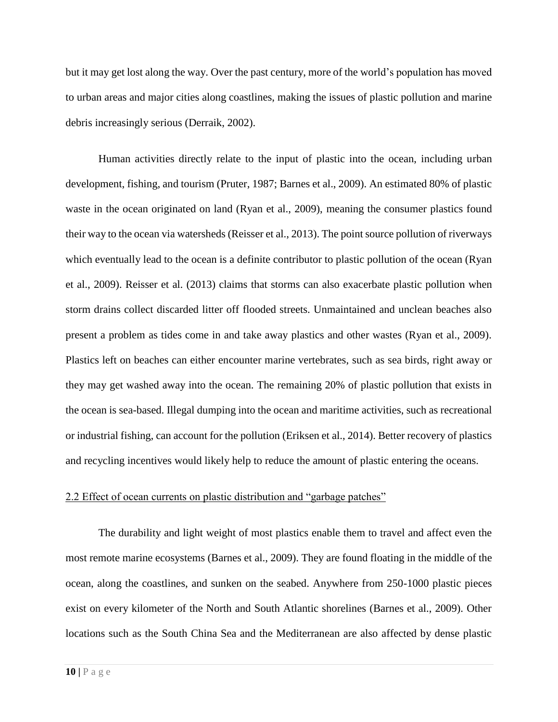but it may get lost along the way. Over the past century, more of the world's population has moved to urban areas and major cities along coastlines, making the issues of plastic pollution and marine debris increasingly serious (Derraik, 2002).

Human activities directly relate to the input of plastic into the ocean, including urban development, fishing, and tourism (Pruter, 1987; Barnes et al., 2009). An estimated 80% of plastic waste in the ocean originated on land (Ryan et al., 2009), meaning the consumer plastics found their way to the ocean via watersheds (Reisser et al., 2013). The point source pollution of riverways which eventually lead to the ocean is a definite contributor to plastic pollution of the ocean (Ryan et al., 2009). Reisser et al. (2013) claims that storms can also exacerbate plastic pollution when storm drains collect discarded litter off flooded streets. Unmaintained and unclean beaches also present a problem as tides come in and take away plastics and other wastes (Ryan et al., 2009). Plastics left on beaches can either encounter marine vertebrates, such as sea birds, right away or they may get washed away into the ocean. The remaining 20% of plastic pollution that exists in the ocean is sea-based. Illegal dumping into the ocean and maritime activities, such as recreational or industrial fishing, can account for the pollution (Eriksen et al., 2014). Better recovery of plastics and recycling incentives would likely help to reduce the amount of plastic entering the oceans.

#### 2.2 Effect of ocean currents on plastic distribution and "garbage patches"

The durability and light weight of most plastics enable them to travel and affect even the most remote marine ecosystems (Barnes et al., 2009). They are found floating in the middle of the ocean, along the coastlines, and sunken on the seabed. Anywhere from 250-1000 plastic pieces exist on every kilometer of the North and South Atlantic shorelines (Barnes et al., 2009). Other locations such as the South China Sea and the Mediterranean are also affected by dense plastic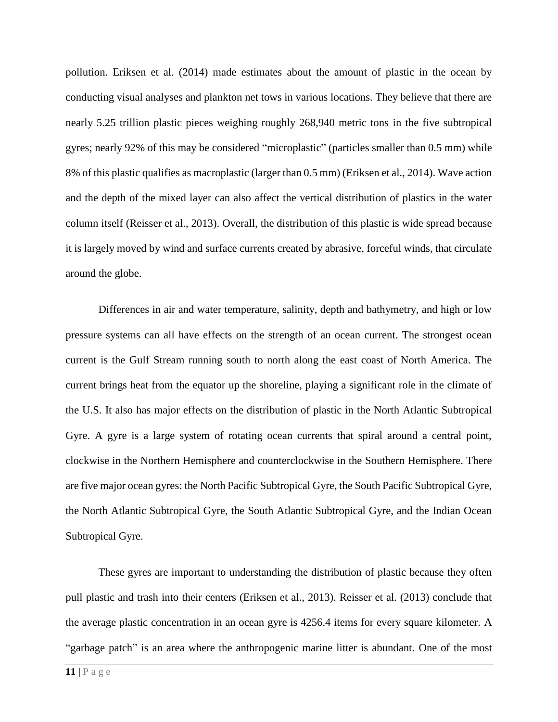pollution. Eriksen et al. (2014) made estimates about the amount of plastic in the ocean by conducting visual analyses and plankton net tows in various locations. They believe that there are nearly 5.25 trillion plastic pieces weighing roughly 268,940 metric tons in the five subtropical gyres; nearly 92% of this may be considered "microplastic" (particles smaller than 0.5 mm) while 8% of this plastic qualifies as macroplastic (larger than 0.5 mm) (Eriksen et al., 2014). Wave action and the depth of the mixed layer can also affect the vertical distribution of plastics in the water column itself (Reisser et al., 2013). Overall, the distribution of this plastic is wide spread because it is largely moved by wind and surface currents created by abrasive, forceful winds, that circulate around the globe.

Differences in air and water temperature, salinity, depth and bathymetry, and high or low pressure systems can all have effects on the strength of an ocean current. The strongest ocean current is the Gulf Stream running south to north along the east coast of North America. The current brings heat from the equator up the shoreline, playing a significant role in the climate of the U.S. It also has major effects on the distribution of plastic in the North Atlantic Subtropical Gyre. A gyre is a large system of rotating ocean currents that spiral around a central point, clockwise in the Northern Hemisphere and counterclockwise in the Southern Hemisphere. There are five major ocean gyres: the North Pacific Subtropical Gyre, the South Pacific Subtropical Gyre, the North Atlantic Subtropical Gyre, the South Atlantic Subtropical Gyre, and the Indian Ocean Subtropical Gyre.

These gyres are important to understanding the distribution of plastic because they often pull plastic and trash into their centers (Eriksen et al., 2013). Reisser et al. (2013) conclude that the average plastic concentration in an ocean gyre is 4256.4 items for every square kilometer. A "garbage patch" is an area where the anthropogenic marine litter is abundant. One of the most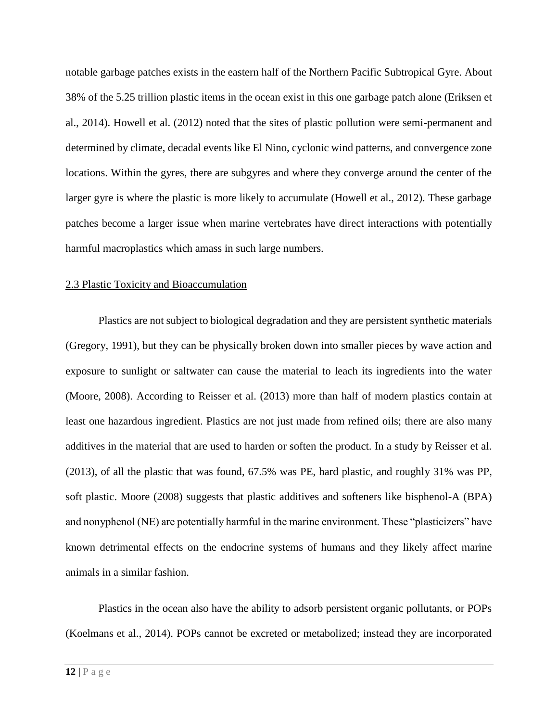notable garbage patches exists in the eastern half of the Northern Pacific Subtropical Gyre. About 38% of the 5.25 trillion plastic items in the ocean exist in this one garbage patch alone (Eriksen et al., 2014). Howell et al. (2012) noted that the sites of plastic pollution were semi-permanent and determined by climate, decadal events like El Nino, cyclonic wind patterns, and convergence zone locations. Within the gyres, there are subgyres and where they converge around the center of the larger gyre is where the plastic is more likely to accumulate (Howell et al., 2012). These garbage patches become a larger issue when marine vertebrates have direct interactions with potentially harmful macroplastics which amass in such large numbers.

#### 2.3 Plastic Toxicity and Bioaccumulation

Plastics are not subject to biological degradation and they are persistent synthetic materials (Gregory, 1991), but they can be physically broken down into smaller pieces by wave action and exposure to sunlight or saltwater can cause the material to leach its ingredients into the water (Moore, 2008). According to Reisser et al. (2013) more than half of modern plastics contain at least one hazardous ingredient. Plastics are not just made from refined oils; there are also many additives in the material that are used to harden or soften the product. In a study by Reisser et al. (2013), of all the plastic that was found, 67.5% was PE, hard plastic, and roughly 31% was PP, soft plastic. Moore (2008) suggests that plastic additives and softeners like bisphenol-A (BPA) and nonyphenol (NE) are potentially harmful in the marine environment. These "plasticizers" have known detrimental effects on the endocrine systems of humans and they likely affect marine animals in a similar fashion.

Plastics in the ocean also have the ability to adsorb persistent organic pollutants, or POPs (Koelmans et al., 2014). POPs cannot be excreted or metabolized; instead they are incorporated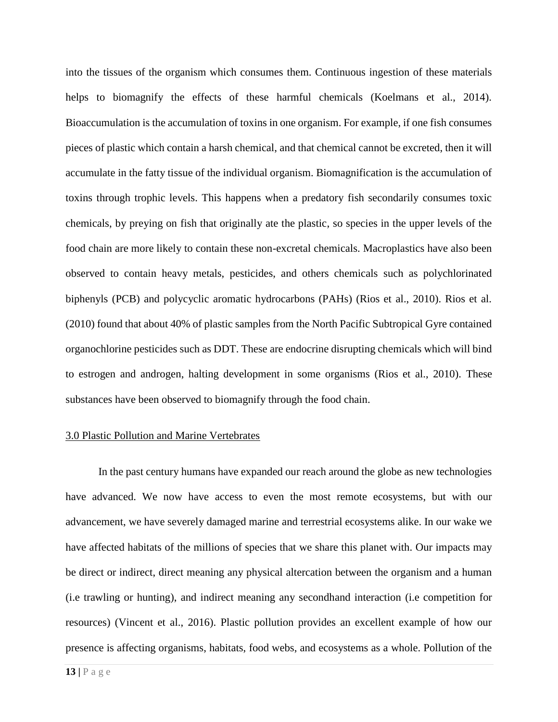into the tissues of the organism which consumes them. Continuous ingestion of these materials helps to biomagnify the effects of these harmful chemicals (Koelmans et al., 2014). Bioaccumulation is the accumulation of toxins in one organism. For example, if one fish consumes pieces of plastic which contain a harsh chemical, and that chemical cannot be excreted, then it will accumulate in the fatty tissue of the individual organism. Biomagnification is the accumulation of toxins through trophic levels. This happens when a predatory fish secondarily consumes toxic chemicals, by preying on fish that originally ate the plastic, so species in the upper levels of the food chain are more likely to contain these non-excretal chemicals. Macroplastics have also been observed to contain heavy metals, pesticides, and others chemicals such as polychlorinated biphenyls (PCB) and polycyclic aromatic hydrocarbons (PAHs) (Rios et al., 2010). Rios et al. (2010) found that about 40% of plastic samples from the North Pacific Subtropical Gyre contained organochlorine pesticides such as DDT. These are endocrine disrupting chemicals which will bind to estrogen and androgen, halting development in some organisms (Rios et al., 2010). These substances have been observed to biomagnify through the food chain.

#### 3.0 Plastic Pollution and Marine Vertebrates

In the past century humans have expanded our reach around the globe as new technologies have advanced. We now have access to even the most remote ecosystems, but with our advancement, we have severely damaged marine and terrestrial ecosystems alike. In our wake we have affected habitats of the millions of species that we share this planet with. Our impacts may be direct or indirect, direct meaning any physical altercation between the organism and a human (i.e trawling or hunting), and indirect meaning any secondhand interaction (i.e competition for resources) (Vincent et al., 2016). Plastic pollution provides an excellent example of how our presence is affecting organisms, habitats, food webs, and ecosystems as a whole. Pollution of the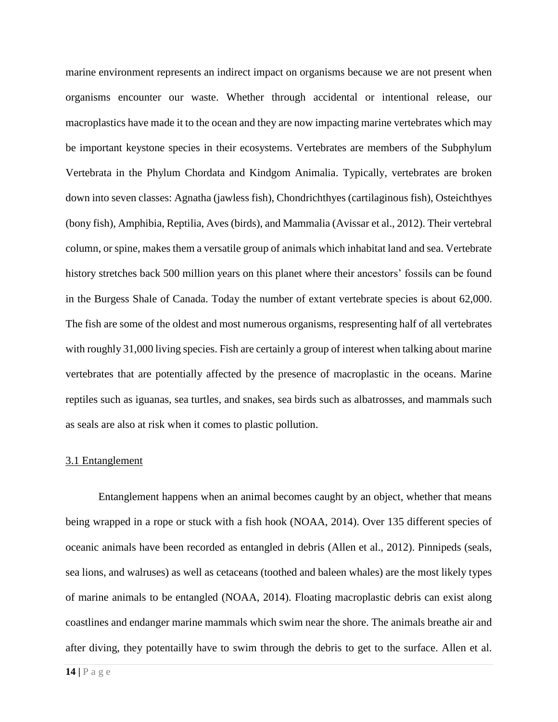marine environment represents an indirect impact on organisms because we are not present when organisms encounter our waste. Whether through accidental or intentional release, our macroplastics have made it to the ocean and they are now impacting marine vertebrates which may be important keystone species in their ecosystems. Vertebrates are members of the Subphylum Vertebrata in the Phylum Chordata and Kindgom Animalia. Typically, vertebrates are broken down into seven classes: Agnatha (jawless fish), Chondrichthyes (cartilaginous fish), Osteichthyes (bony fish), Amphibia, Reptilia, Aves (birds), and Mammalia (Avissar et al., 2012). Their vertebral column, or spine, makes them a versatile group of animals which inhabitat land and sea. Vertebrate history stretches back 500 million years on this planet where their ancestors' fossils can be found in the Burgess Shale of Canada. Today the number of extant vertebrate species is about 62,000. The fish are some of the oldest and most numerous organisms, respresenting half of all vertebrates with roughly 31,000 living species. Fish are certainly a group of interest when talking about marine vertebrates that are potentially affected by the presence of macroplastic in the oceans. Marine reptiles such as iguanas, sea turtles, and snakes, sea birds such as albatrosses, and mammals such as seals are also at risk when it comes to plastic pollution.

#### 3.1 Entanglement

Entanglement happens when an animal becomes caught by an object, whether that means being wrapped in a rope or stuck with a fish hook (NOAA, 2014). Over 135 different species of oceanic animals have been recorded as entangled in debris (Allen et al., 2012). Pinnipeds (seals, sea lions, and walruses) as well as cetaceans (toothed and baleen whales) are the most likely types of marine animals to be entangled (NOAA, 2014). Floating macroplastic debris can exist along coastlines and endanger marine mammals which swim near the shore. The animals breathe air and after diving, they potentailly have to swim through the debris to get to the surface. Allen et al.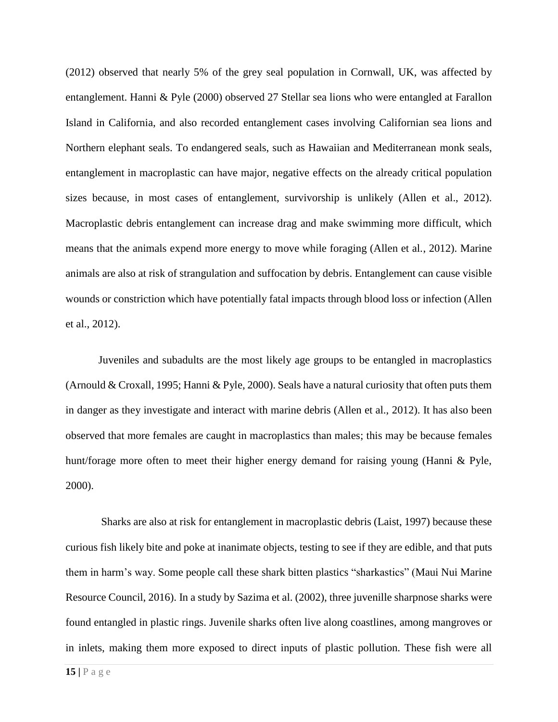(2012) observed that nearly 5% of the grey seal population in Cornwall, UK, was affected by entanglement. Hanni & Pyle (2000) observed 27 Stellar sea lions who were entangled at Farallon Island in California, and also recorded entanglement cases involving Californian sea lions and Northern elephant seals. To endangered seals, such as Hawaiian and Mediterranean monk seals, entanglement in macroplastic can have major, negative effects on the already critical population sizes because, in most cases of entanglement, survivorship is unlikely (Allen et al., 2012). Macroplastic debris entanglement can increase drag and make swimming more difficult, which means that the animals expend more energy to move while foraging (Allen et al., 2012). Marine animals are also at risk of strangulation and suffocation by debris. Entanglement can cause visible wounds or constriction which have potentially fatal impacts through blood loss or infection (Allen et al., 2012).

Juveniles and subadults are the most likely age groups to be entangled in macroplastics (Arnould & Croxall, 1995; Hanni & Pyle, 2000). Seals have a natural curiosity that often puts them in danger as they investigate and interact with marine debris (Allen et al., 2012). It has also been observed that more females are caught in macroplastics than males; this may be because females hunt/forage more often to meet their higher energy demand for raising young (Hanni & Pyle, 2000).

Sharks are also at risk for entanglement in macroplastic debris (Laist, 1997) because these curious fish likely bite and poke at inanimate objects, testing to see if they are edible, and that puts them in harm's way. Some people call these shark bitten plastics "sharkastics" (Maui Nui Marine Resource Council, 2016). In a study by Sazima et al. (2002), three juvenille sharpnose sharks were found entangled in plastic rings. Juvenile sharks often live along coastlines, among mangroves or in inlets, making them more exposed to direct inputs of plastic pollution. These fish were all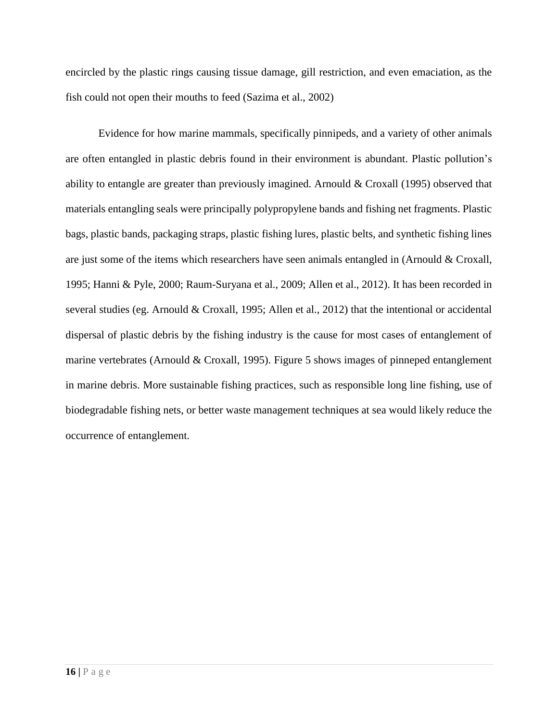encircled by the plastic rings causing tissue damage, gill restriction, and even emaciation, as the fish could not open their mouths to feed (Sazima et al., 2002)

Evidence for how marine mammals, specifically pinnipeds, and a variety of other animals are often entangled in plastic debris found in their environment is abundant. Plastic pollution's ability to entangle are greater than previously imagined. Arnould & Croxall (1995) observed that materials entangling seals were principally polypropylene bands and fishing net fragments. Plastic bags, plastic bands, packaging straps, plastic fishing lures, plastic belts, and synthetic fishing lines are just some of the items which researchers have seen animals entangled in (Arnould & Croxall, 1995; Hanni & Pyle, 2000; Raum-Suryana et al., 2009; Allen et al., 2012). It has been recorded in several studies (eg. Arnould & Croxall, 1995; Allen et al., 2012) that the intentional or accidental dispersal of plastic debris by the fishing industry is the cause for most cases of entanglement of marine vertebrates (Arnould & Croxall, 1995). Figure 5 shows images of pinneped entanglement in marine debris. More sustainable fishing practices, such as responsible long line fishing, use of biodegradable fishing nets, or better waste management techniques at sea would likely reduce the occurrence of entanglement.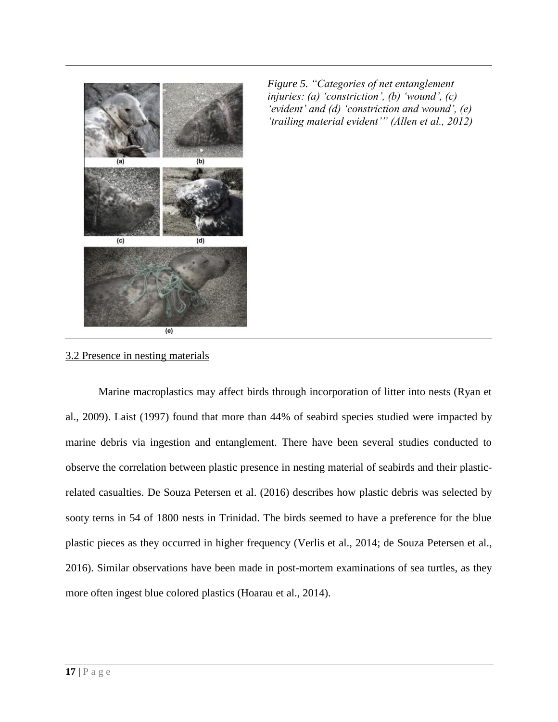

*Figure 5. "Categories of net entanglement injuries: (a) 'constriction', (b) 'wound', (c) 'evident' and (d) 'constriction and wound', (e) 'trailing material evident'" (Allen et al., 2012)*

3.2 Presence in nesting materials

Marine macroplastics may affect birds through incorporation of litter into nests (Ryan et al., 2009). Laist (1997) found that more than 44% of seabird species studied were impacted by marine debris via ingestion and entanglement. There have been several studies conducted to observe the correlation between plastic presence in nesting material of seabirds and their plasticrelated casualties. De Souza Petersen et al. (2016) describes how plastic debris was selected by sooty terns in 54 of 1800 nests in Trinidad. The birds seemed to have a preference for the blue plastic pieces as they occurred in higher frequency (Verlis et al., 2014; de Souza Petersen et al., 2016). Similar observations have been made in post-mortem examinations of sea turtles, as they more often ingest blue colored plastics (Hoarau et al., 2014).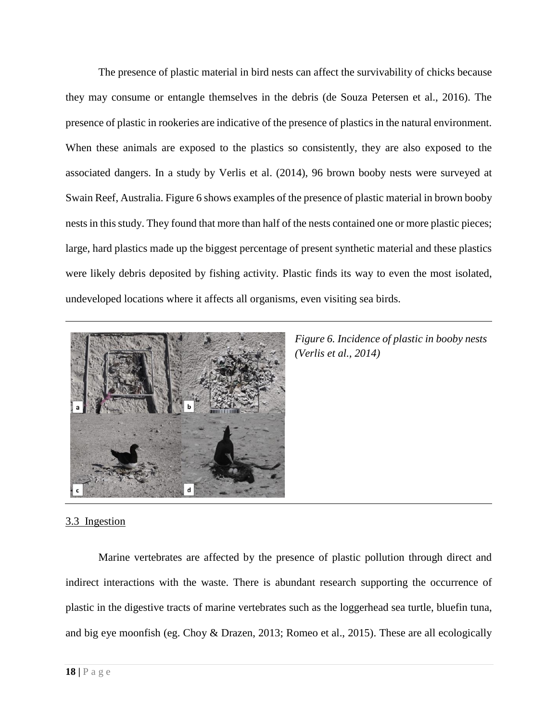The presence of plastic material in bird nests can affect the survivability of chicks because they may consume or entangle themselves in the debris (de Souza Petersen et al., 2016). The presence of plastic in rookeries are indicative of the presence of plastics in the natural environment. When these animals are exposed to the plastics so consistently, they are also exposed to the associated dangers. In a study by Verlis et al. (2014), 96 brown booby nests were surveyed at Swain Reef, Australia. Figure 6 shows examples of the presence of plastic material in brown booby nests in this study. They found that more than half of the nests contained one or more plastic pieces; large, hard plastics made up the biggest percentage of present synthetic material and these plastics were likely debris deposited by fishing activity. Plastic finds its way to even the most isolated, undeveloped locations where it affects all organisms, even visiting sea birds.



*Figure 6. Incidence of plastic in booby nests (Verlis et al., 2014)*

# 3.3 Ingestion

Marine vertebrates are affected by the presence of plastic pollution through direct and indirect interactions with the waste. There is abundant research supporting the occurrence of plastic in the digestive tracts of marine vertebrates such as the loggerhead sea turtle, bluefin tuna, and big eye moonfish (eg. Choy & Drazen, 2013; Romeo et al., 2015). These are all ecologically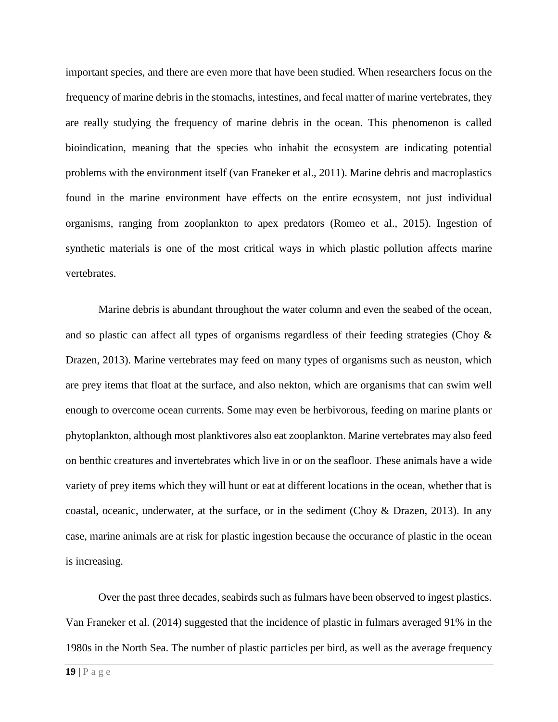important species, and there are even more that have been studied. When researchers focus on the frequency of marine debris in the stomachs, intestines, and fecal matter of marine vertebrates, they are really studying the frequency of marine debris in the ocean. This phenomenon is called bioindication, meaning that the species who inhabit the ecosystem are indicating potential problems with the environment itself (van Franeker et al., 2011). Marine debris and macroplastics found in the marine environment have effects on the entire ecosystem, not just individual organisms, ranging from zooplankton to apex predators (Romeo et al., 2015). Ingestion of synthetic materials is one of the most critical ways in which plastic pollution affects marine vertebrates.

Marine debris is abundant throughout the water column and even the seabed of the ocean, and so plastic can affect all types of organisms regardless of their feeding strategies (Choy & Drazen, 2013). Marine vertebrates may feed on many types of organisms such as neuston, which are prey items that float at the surface, and also nekton, which are organisms that can swim well enough to overcome ocean currents. Some may even be herbivorous, feeding on marine plants or phytoplankton, although most planktivores also eat zooplankton. Marine vertebrates may also feed on benthic creatures and invertebrates which live in or on the seafloor. These animals have a wide variety of prey items which they will hunt or eat at different locations in the ocean, whether that is coastal, oceanic, underwater, at the surface, or in the sediment (Choy & Drazen, 2013). In any case, marine animals are at risk for plastic ingestion because the occurance of plastic in the ocean is increasing.

Over the past three decades, seabirds such as fulmars have been observed to ingest plastics. Van Franeker et al. (2014) suggested that the incidence of plastic in fulmars averaged 91% in the 1980s in the North Sea. The number of plastic particles per bird, as well as the average frequency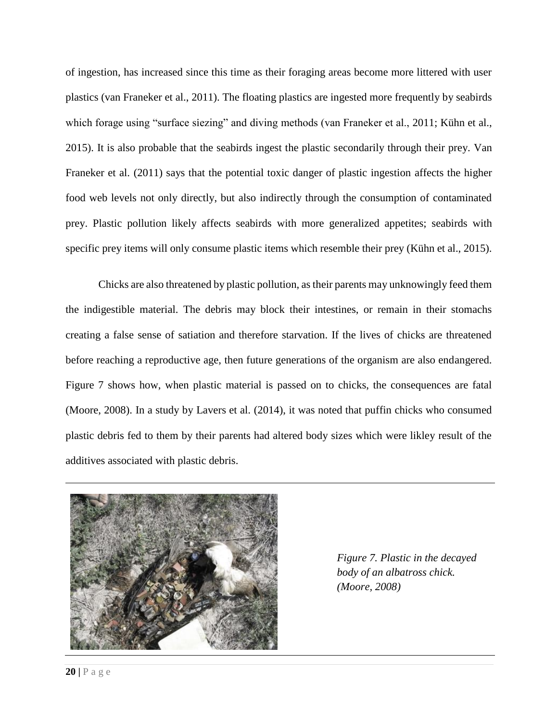of ingestion, has increased since this time as their foraging areas become more littered with user plastics (van Franeker et al., 2011). The floating plastics are ingested more frequently by seabirds which forage using "surface siezing" and diving methods (van Franeker et al., 2011; Kühn et al., 2015). It is also probable that the seabirds ingest the plastic secondarily through their prey. Van Franeker et al. (2011) says that the potential toxic danger of plastic ingestion affects the higher food web levels not only directly, but also indirectly through the consumption of contaminated prey. Plastic pollution likely affects seabirds with more generalized appetites; seabirds with specific prey items will only consume plastic items which resemble their prey (Kühn et al., 2015).

Chicks are also threatened by plastic pollution, as their parents may unknowingly feed them the indigestible material. The debris may block their intestines, or remain in their stomachs creating a false sense of satiation and therefore starvation. If the lives of chicks are threatened before reaching a reproductive age, then future generations of the organism are also endangered. Figure 7 shows how, when plastic material is passed on to chicks, the consequences are fatal (Moore, 2008). In a study by Lavers et al. (2014), it was noted that puffin chicks who consumed plastic debris fed to them by their parents had altered body sizes which were likley result of the additives associated with plastic debris.



*Figure 7. Plastic in the decayed body of an albatross chick. (Moore, 2008)*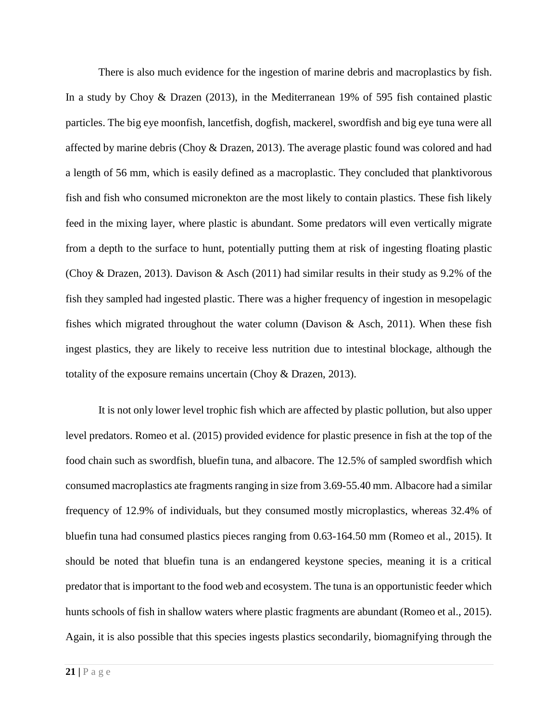There is also much evidence for the ingestion of marine debris and macroplastics by fish. In a study by Choy & Drazen (2013), in the Mediterranean 19% of 595 fish contained plastic particles. The big eye moonfish, lancetfish, dogfish, mackerel, swordfish and big eye tuna were all affected by marine debris (Choy & Drazen, 2013). The average plastic found was colored and had a length of 56 mm, which is easily defined as a macroplastic. They concluded that planktivorous fish and fish who consumed micronekton are the most likely to contain plastics. These fish likely feed in the mixing layer, where plastic is abundant. Some predators will even vertically migrate from a depth to the surface to hunt, potentially putting them at risk of ingesting floating plastic (Choy & Drazen, 2013). Davison & Asch (2011) had similar results in their study as 9.2% of the fish they sampled had ingested plastic. There was a higher frequency of ingestion in mesopelagic fishes which migrated throughout the water column (Davison  $\&$  Asch, 2011). When these fish ingest plastics, they are likely to receive less nutrition due to intestinal blockage, although the totality of the exposure remains uncertain (Choy & Drazen, 2013).

It is not only lower level trophic fish which are affected by plastic pollution, but also upper level predators. Romeo et al. (2015) provided evidence for plastic presence in fish at the top of the food chain such as swordfish, bluefin tuna, and albacore. The 12.5% of sampled swordfish which consumed macroplastics ate fragments ranging in size from 3.69-55.40 mm. Albacore had a similar frequency of 12.9% of individuals, but they consumed mostly microplastics, whereas 32.4% of bluefin tuna had consumed plastics pieces ranging from 0.63-164.50 mm (Romeo et al., 2015). It should be noted that bluefin tuna is an endangered keystone species, meaning it is a critical predator that is important to the food web and ecosystem. The tuna is an opportunistic feeder which hunts schools of fish in shallow waters where plastic fragments are abundant (Romeo et al., 2015). Again, it is also possible that this species ingests plastics secondarily, biomagnifying through the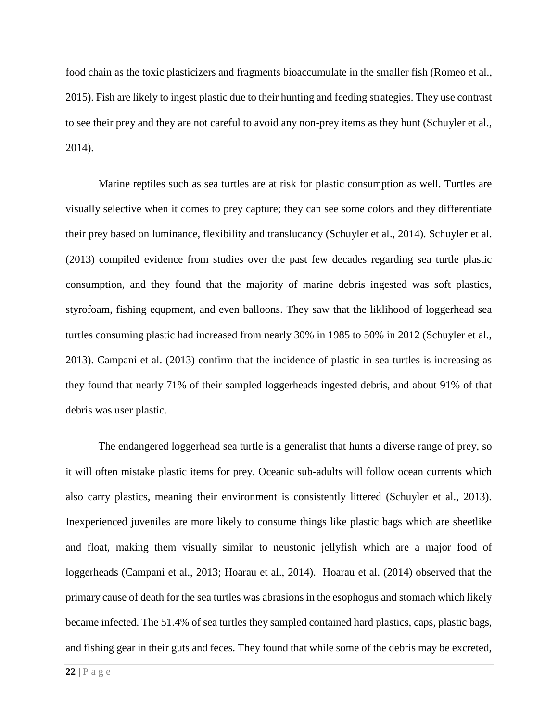food chain as the toxic plasticizers and fragments bioaccumulate in the smaller fish (Romeo et al., 2015). Fish are likely to ingest plastic due to their hunting and feeding strategies. They use contrast to see their prey and they are not careful to avoid any non-prey items as they hunt (Schuyler et al., 2014).

Marine reptiles such as sea turtles are at risk for plastic consumption as well. Turtles are visually selective when it comes to prey capture; they can see some colors and they differentiate their prey based on luminance, flexibility and translucancy (Schuyler et al., 2014). Schuyler et al. (2013) compiled evidence from studies over the past few decades regarding sea turtle plastic consumption, and they found that the majority of marine debris ingested was soft plastics, styrofoam, fishing equpment, and even balloons. They saw that the liklihood of loggerhead sea turtles consuming plastic had increased from nearly 30% in 1985 to 50% in 2012 (Schuyler et al., 2013). Campani et al. (2013) confirm that the incidence of plastic in sea turtles is increasing as they found that nearly 71% of their sampled loggerheads ingested debris, and about 91% of that debris was user plastic.

The endangered loggerhead sea turtle is a generalist that hunts a diverse range of prey, so it will often mistake plastic items for prey. Oceanic sub-adults will follow ocean currents which also carry plastics, meaning their environment is consistently littered (Schuyler et al., 2013). Inexperienced juveniles are more likely to consume things like plastic bags which are sheetlike and float, making them visually similar to neustonic jellyfish which are a major food of loggerheads (Campani et al., 2013; Hoarau et al., 2014). Hoarau et al. (2014) observed that the primary cause of death for the sea turtles was abrasions in the esophogus and stomach which likely became infected. The 51.4% of sea turtles they sampled contained hard plastics, caps, plastic bags, and fishing gear in their guts and feces. They found that while some of the debris may be excreted,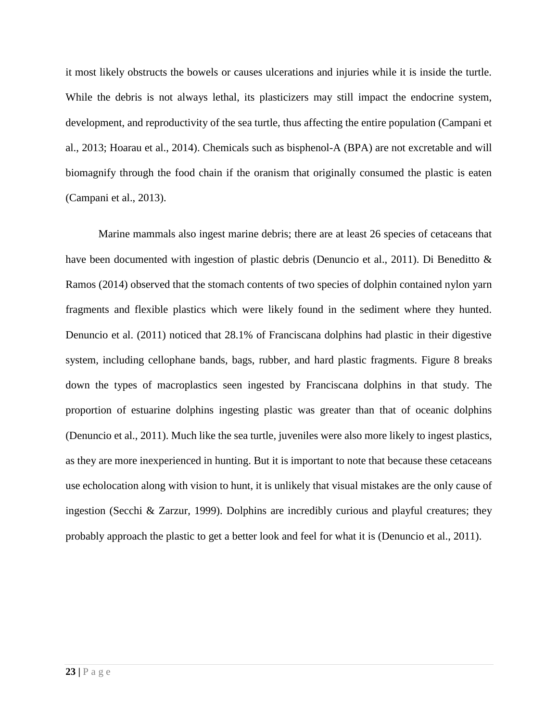it most likely obstructs the bowels or causes ulcerations and injuries while it is inside the turtle. While the debris is not always lethal, its plasticizers may still impact the endocrine system, development, and reproductivity of the sea turtle, thus affecting the entire population (Campani et al., 2013; Hoarau et al., 2014). Chemicals such as bisphenol-A (BPA) are not excretable and will biomagnify through the food chain if the oranism that originally consumed the plastic is eaten (Campani et al., 2013).

Marine mammals also ingest marine debris; there are at least 26 species of cetaceans that have been documented with ingestion of plastic debris (Denuncio et al., 2011). Di Beneditto & Ramos (2014) observed that the stomach contents of two species of dolphin contained nylon yarn fragments and flexible plastics which were likely found in the sediment where they hunted. Denuncio et al. (2011) noticed that 28.1% of Franciscana dolphins had plastic in their digestive system, including cellophane bands, bags, rubber, and hard plastic fragments. Figure 8 breaks down the types of macroplastics seen ingested by Franciscana dolphins in that study. The proportion of estuarine dolphins ingesting plastic was greater than that of oceanic dolphins (Denuncio et al., 2011). Much like the sea turtle, juveniles were also more likely to ingest plastics, as they are more inexperienced in hunting. But it is important to note that because these cetaceans use echolocation along with vision to hunt, it is unlikely that visual mistakes are the only cause of ingestion (Secchi & Zarzur, 1999). Dolphins are incredibly curious and playful creatures; they probably approach the plastic to get a better look and feel for what it is (Denuncio et al., 2011).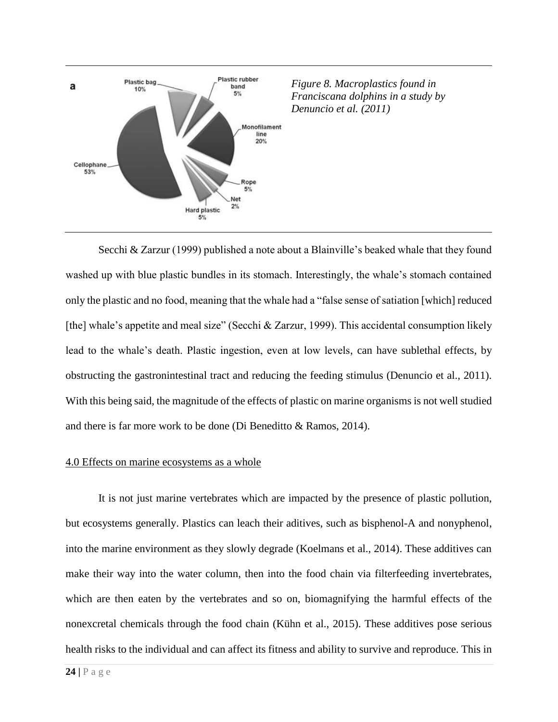

Secchi & Zarzur (1999) published a note about a Blainville's beaked whale that they found washed up with blue plastic bundles in its stomach. Interestingly, the whale's stomach contained only the plastic and no food, meaning that the whale had a "false sense of satiation [which] reduced [the] whale's appetite and meal size" (Secchi & Zarzur, 1999). This accidental consumption likely lead to the whale's death. Plastic ingestion, even at low levels, can have sublethal effects, by obstructing the gastronintestinal tract and reducing the feeding stimulus (Denuncio et al., 2011). With this being said, the magnitude of the effects of plastic on marine organisms is not well studied and there is far more work to be done (Di Beneditto & Ramos, 2014).

#### 4.0 Effects on marine ecosystems as a whole

It is not just marine vertebrates which are impacted by the presence of plastic pollution, but ecosystems generally. Plastics can leach their aditives, such as bisphenol-A and nonyphenol, into the marine environment as they slowly degrade (Koelmans et al., 2014). These additives can make their way into the water column, then into the food chain via filterfeeding invertebrates, which are then eaten by the vertebrates and so on, biomagnifying the harmful effects of the nonexcretal chemicals through the food chain (Kühn et al., 2015). These additives pose serious health risks to the individual and can affect its fitness and ability to survive and reproduce. This in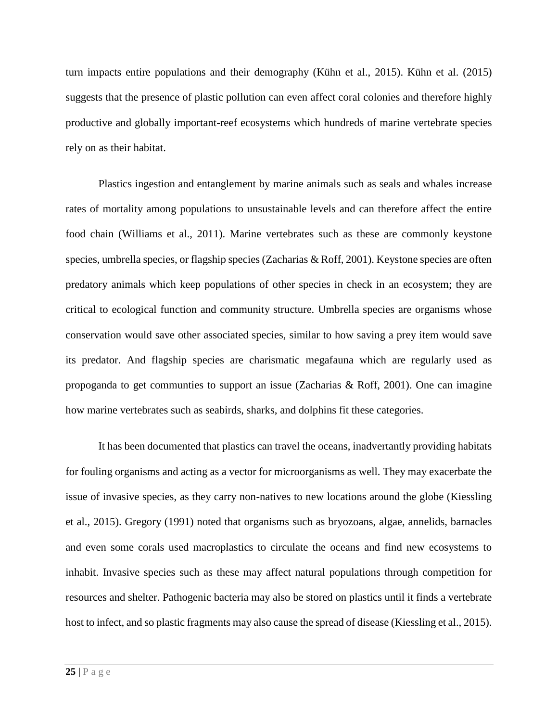turn impacts entire populations and their demography (Kühn et al., 2015). Kühn et al. (2015) suggests that the presence of plastic pollution can even affect coral colonies and therefore highly productive and globally important-reef ecosystems which hundreds of marine vertebrate species rely on as their habitat.

Plastics ingestion and entanglement by marine animals such as seals and whales increase rates of mortality among populations to unsustainable levels and can therefore affect the entire food chain (Williams et al., 2011). Marine vertebrates such as these are commonly keystone species, umbrella species, or flagship species (Zacharias  $\&$  Roff, 2001). Keystone species are often predatory animals which keep populations of other species in check in an ecosystem; they are critical to ecological function and community structure. Umbrella species are organisms whose conservation would save other associated species, similar to how saving a prey item would save its predator. And flagship species are charismatic megafauna which are regularly used as propoganda to get communties to support an issue (Zacharias & Roff, 2001). One can imagine how marine vertebrates such as seabirds, sharks, and dolphins fit these categories.

It has been documented that plastics can travel the oceans, inadvertantly providing habitats for fouling organisms and acting as a vector for microorganisms as well. They may exacerbate the issue of invasive species, as they carry non-natives to new locations around the globe (Kiessling et al., 2015). Gregory (1991) noted that organisms such as bryozoans, algae, annelids, barnacles and even some corals used macroplastics to circulate the oceans and find new ecosystems to inhabit. Invasive species such as these may affect natural populations through competition for resources and shelter. Pathogenic bacteria may also be stored on plastics until it finds a vertebrate host to infect, and so plastic fragments may also cause the spread of disease (Kiessling et al., 2015).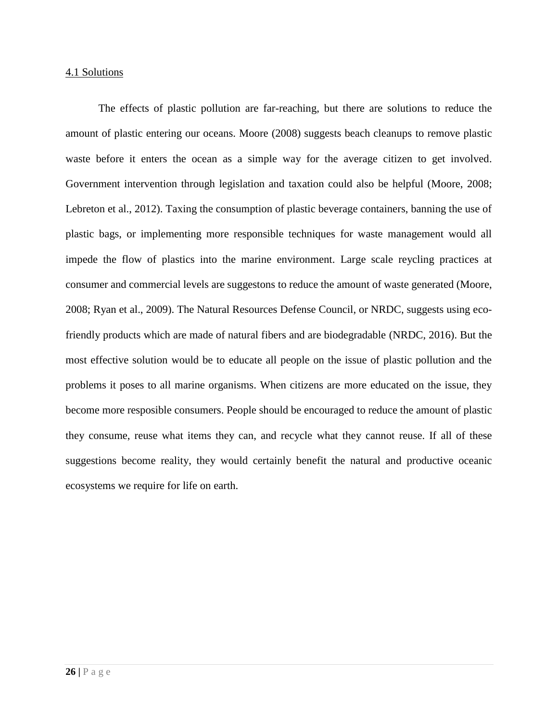#### 4.1 Solutions

The effects of plastic pollution are far-reaching, but there are solutions to reduce the amount of plastic entering our oceans. Moore (2008) suggests beach cleanups to remove plastic waste before it enters the ocean as a simple way for the average citizen to get involved. Government intervention through legislation and taxation could also be helpful (Moore, 2008; Lebreton et al., 2012). Taxing the consumption of plastic beverage containers, banning the use of plastic bags, or implementing more responsible techniques for waste management would all impede the flow of plastics into the marine environment. Large scale reycling practices at consumer and commercial levels are suggestons to reduce the amount of waste generated (Moore, 2008; Ryan et al., 2009). The Natural Resources Defense Council, or NRDC, suggests using ecofriendly products which are made of natural fibers and are biodegradable (NRDC, 2016). But the most effective solution would be to educate all people on the issue of plastic pollution and the problems it poses to all marine organisms. When citizens are more educated on the issue, they become more resposible consumers. People should be encouraged to reduce the amount of plastic they consume, reuse what items they can, and recycle what they cannot reuse. If all of these suggestions become reality, they would certainly benefit the natural and productive oceanic ecosystems we require for life on earth.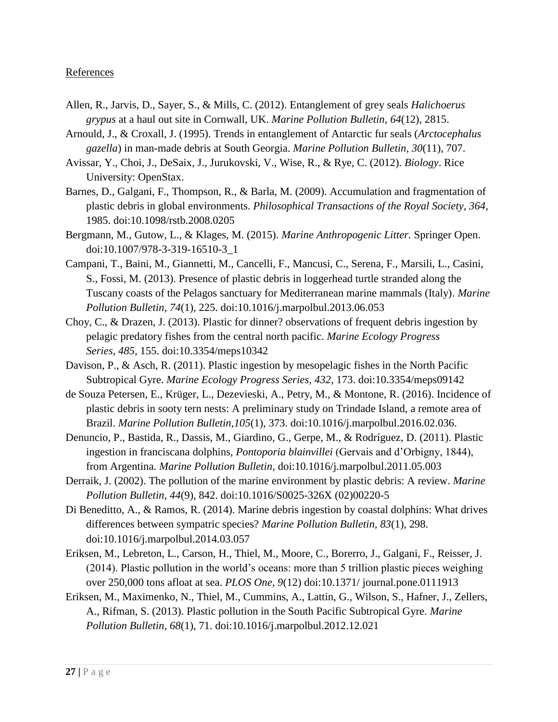# **References**

- Allen, R., Jarvis, D., Sayer, S., & Mills, C. (2012). Entanglement of grey seals *Halichoerus grypus* at a haul out site in Cornwall, UK. *Marine Pollution Bulletin, 64*(12), 2815.
- Arnould, J., & Croxall, J. (1995). Trends in entanglement of Antarctic fur seals (*Arctocephalus gazella*) in man-made debris at South Georgia. *Marine Pollution Bulletin, 30*(11), 707.
- Avissar, Y., Choi, J., DeSaix, J., Jurukovski, V., Wise, R., & Rye, C. (2012). *Biology*. Rice University: OpenStax.
- Barnes, D., Galgani, F., Thompson, R., & Barla, M. (2009). Accumulation and fragmentation of plastic debris in global environments. *Philosophical Transactions of the Royal Society, 364*, 1985. doi:10.1098/rstb.2008.0205
- Bergmann, M., Gutow, L., & Klages, M. (2015). *Marine Anthropogenic Litter.* Springer Open. doi:10.1007/978-3-319-16510-3\_1
- Campani, T., Baini, M., Giannetti, M., Cancelli, F., Mancusi, C., Serena, F., Marsili, L., Casini, S., Fossi, M. (2013). Presence of plastic debris in loggerhead turtle stranded along the Tuscany coasts of the Pelagos sanctuary for Mediterranean marine mammals (Italy). *Marine Pollution Bulletin, 74*(1), 225. doi:10.1016/j.marpolbul.2013.06.053
- Choy, C., & Drazen, J. (2013). Plastic for dinner? observations of frequent debris ingestion by pelagic predatory fishes from the central north pacific. *Marine Ecology Progress Series, 485*, 155. doi:10.3354/meps10342
- Davison, P., & Asch, R. (2011). Plastic ingestion by mesopelagic fishes in the North Pacific Subtropical Gyre. *Marine Ecology Progress Series, 432*, 173. doi:10.3354/meps09142
- de Souza Petersen, E., Krüger, L., Dezevieski, A., Petry, M., & Montone, R. (2016). Incidence of plastic debris in sooty tern nests: A preliminary study on Trindade Island, a remote area of Brazil. *Marine Pollution Bulletin,105*(1), 373. doi:10.1016/j.marpolbul.2016.02.036.
- Denuncio, P., Bastida, R., Dassis, M., Giardino, G., Gerpe, M., & Rodríguez, D. (2011). Plastic ingestion in franciscana dolphins, *Pontoporia blainvillei* (Gervais and d'Orbigny, 1844), from Argentina. *Marine Pollution Bulletin,* doi:10.1016/j.marpolbul.2011.05.003
- Derraik, J. (2002). The pollution of the marine environment by plastic debris: A review. *Marine Pollution Bulletin, 44*(9), 842. doi:10.1016/S0025-326X (02)00220-5
- Di Beneditto, A., & Ramos, R. (2014). Marine debris ingestion by coastal dolphins: What drives differences between sympatric species? *Marine Pollution Bulletin, 83*(1), 298. doi:10.1016/j.marpolbul.2014.03.057
- Eriksen, M., Lebreton, L., Carson, H., Thiel, M., Moore, C., Borerro, J., Galgani, F., Reisser, J. (2014). Plastic pollution in the world's oceans: more than 5 trillion plastic pieces weighing over 250,000 tons afloat at sea. *PLOS One, 9*(12) doi:10.1371/ journal.pone.0111913
- Eriksen, M., Maximenko, N., Thiel, M., Cummins, A., Lattin, G., Wilson, S., Hafner, J., Zellers, A., Rifman, S. (2013). Plastic pollution in the South Pacific Subtropical Gyre. *Marine Pollution Bulletin, 68*(1), 71. doi:10.1016/j.marpolbul.2012.12.021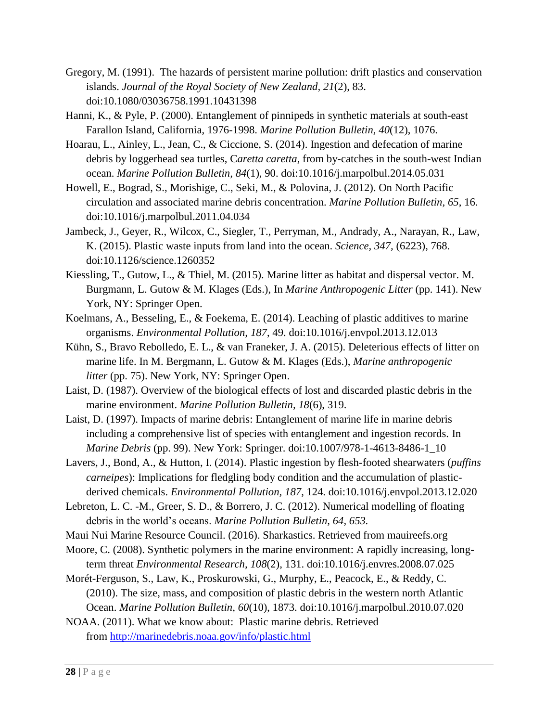- Gregory, M. (1991). The hazards of persistent marine pollution: drift plastics and conservation islands. *Journal of the Royal Society of New Zealand, 21*(2), 83. doi:10.1080/03036758.1991.10431398
- Hanni, K., & Pyle, P. (2000). Entanglement of pinnipeds in synthetic materials at south-east Farallon Island, California, 1976-1998. *Marine Pollution Bulletin, 40*(12), 1076.
- Hoarau, L., Ainley, L., Jean, C., & Ciccione, S. (2014). Ingestion and defecation of marine debris by loggerhead sea turtles, C*aretta caretta*, from by-catches in the south-west Indian ocean. *Marine Pollution Bulletin, 84*(1), 90. doi:10.1016/j.marpolbul.2014.05.031
- Howell, E., Bograd, S., Morishige, C., Seki, M., & Polovina, J. (2012). On North Pacific circulation and associated marine debris concentration. *Marine Pollution Bulletin, 65*, 16. doi:10.1016/j.marpolbul.2011.04.034
- Jambeck, J., Geyer, R., Wilcox, C., Siegler, T., Perryman, M., Andrady, A., Narayan, R., Law, K. (2015). Plastic waste inputs from land into the ocean. *Science, 347,* (6223), 768. doi:10.1126/science.1260352
- Kiessling, T., Gutow, L., & Thiel, M. (2015). Marine litter as habitat and dispersal vector. M. Burgmann, L. Gutow & M. Klages (Eds.), In *Marine Anthropogenic Litter* (pp. 141). New York, NY: Springer Open.
- Koelmans, A., Besseling, E., & Foekema, E. (2014). Leaching of plastic additives to marine organisms. *Environmental Pollution, 187*, 49. doi:10.1016/j.envpol.2013.12.013
- Kühn, S., Bravo Rebolledo, E. L., & van Franeker, J. A. (2015). Deleterious effects of litter on marine life. In M. Bergmann, L. Gutow & M. Klages (Eds.), *Marine anthropogenic litter* (pp. 75). New York, NY: Springer Open.
- Laist, D. (1987). Overview of the biological effects of lost and discarded plastic debris in the marine environment. *Marine Pollution Bulletin, 18*(6), 319.
- Laist, D. (1997). Impacts of marine debris: Entanglement of marine life in marine debris including a comprehensive list of species with entanglement and ingestion records. In *Marine Debris* (pp. 99). New York: Springer. doi:10.1007/978-1-4613-8486-1\_10
- Lavers, J., Bond, A., & Hutton, I. (2014). Plastic ingestion by flesh-footed shearwaters (*puffins carneipes*): Implications for fledgling body condition and the accumulation of plasticderived chemicals. *Environmental Pollution, 187*, 124. doi:10.1016/j.envpol.2013.12.020
- Lebreton, L. C. -M., Greer, S. D., & Borrero, J. C. (2012). Numerical modelling of floating debris in the world's oceans. *Marine Pollution Bulletin, 64, 653.*
- Maui Nui Marine Resource Council. (2016). Sharkastics. Retrieved from mauireefs.org
- Moore, C. (2008). Synthetic polymers in the marine environment: A rapidly increasing, longterm threat *Environmental Research, 108*(2), 131. doi:10.1016/j.envres.2008.07.025
- Morét-Ferguson, S., Law, K., Proskurowski, G., Murphy, E., Peacock, E., & Reddy, C. (2010). The size, mass, and composition of plastic debris in the western north Atlantic Ocean. *Marine Pollution Bulletin, 60*(10), 1873. doi:10.1016/j.marpolbul.2010.07.020
- NOAA. (2011). What we know about: Plastic marine debris. Retrieved from <http://marinedebris.noaa.gov/info/plastic.html>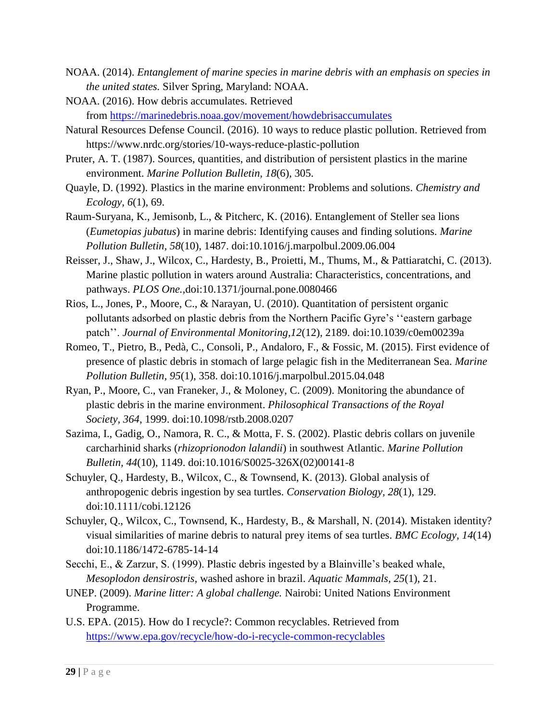- NOAA. (2014). *Entanglement of marine species in marine debris with an emphasis on species in the united states.* Silver Spring, Maryland: NOAA.
- NOAA. (2016). How debris accumulates. Retrieved from [https://marinedebris.noaa.gov/movement/howdebrisaccumulates](https://marinedebris.noaa.gov/movement/how%C2%ADdebris%C2%ADaccumulates)
- Natural Resources Defense Council. (2016). 10 ways to reduce plastic pollution. Retrieved from https://www.nrdc.org/stories/10-ways-reduce-plastic-pollution
- Pruter, A. T. (1987). Sources, quantities, and distribution of persistent plastics in the marine environment. *Marine Pollution Bulletin, 18*(6), 305.
- Quayle, D. (1992). Plastics in the marine environment: Problems and solutions. *Chemistry and Ecology, 6*(1), 69.
- Raum-Suryana, K., Jemisonb, L., & Pitcherc, K. (2016). Entanglement of Steller sea lions (*Eumetopias jubatus*) in marine debris: Identifying causes and finding solutions. *Marine Pollution Bulletin, 58*(10), 1487. doi:10.1016/j.marpolbul.2009.06.004
- Reisser, J., Shaw, J., Wilcox, C., Hardesty, B., Proietti, M., Thums, M., & Pattiaratchi, C. (2013). Marine plastic pollution in waters around Australia: Characteristics, concentrations, and pathways. *PLOS One.,*doi:10.1371/journal.pone.0080466
- Rios, L., Jones, P., Moore, C., & Narayan, U. (2010). Quantitation of persistent organic pollutants adsorbed on plastic debris from the Northern Pacific Gyre's ''eastern garbage patch''. *Journal of Environmental Monitoring,12*(12), 2189. doi:10.1039/c0em00239a
- Romeo, T., Pietro, B., Pedà, C., Consoli, P., Andaloro, F., & Fossic, M. (2015). First evidence of presence of plastic debris in stomach of large pelagic fish in the Mediterranean Sea. *Marine Pollution Bulletin, 95*(1), 358. doi:10.1016/j.marpolbul.2015.04.048
- Ryan, P., Moore, C., van Franeker, J., & Moloney, C. (2009). Monitoring the abundance of plastic debris in the marine environment. *Philosophical Transactions of the Royal Society, 364*, 1999. doi:10.1098/rstb.2008.0207
- Sazima, I., Gadig, O., Namora, R. C., & Motta, F. S. (2002). Plastic debris collars on juvenile carcharhinid sharks (*rhizoprionodon lalandii*) in southwest Atlantic. *Marine Pollution Bulletin, 44*(10), 1149. doi:10.1016/S0025-326X(02)00141-8
- Schuyler, Q., Hardesty, B., Wilcox, C., & Townsend, K. (2013). Global analysis of anthropogenic debris ingestion by sea turtles. *Conservation Biology, 28*(1), 129. doi:10.1111/cobi.12126
- Schuyler, Q., Wilcox, C., Townsend, K., Hardesty, B., & Marshall, N. (2014). Mistaken identity? visual similarities of marine debris to natural prey items of sea turtles. *BMC Ecology, 14*(14) doi:10.1186/1472-6785-14-14
- Secchi, E., & Zarzur, S. (1999). Plastic debris ingested by a Blainville's beaked whale, *Mesoplodon densirostris*, washed ashore in brazil. *Aquatic Mammals, 25*(1), 21.
- UNEP. (2009). *Marine litter: A global challenge.* Nairobi: United Nations Environment Programme.
- U.S. EPA. (2015). How do I recycle?: Common recyclables. Retrieved from <https://www.epa.gov/recycle/how-do-i-recycle-common-recyclables>